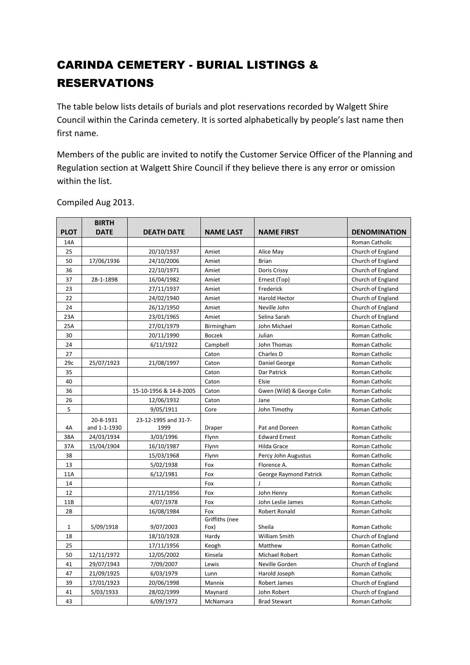## CARINDA CEMETERY - BURIAL LISTINGS & RESERVATIONS

The table below lists details of burials and plot reservations recorded by Walgett Shire Council within the Carinda cemetery. It is sorted alphabetically by people's last name then first name.

Members of the public are invited to notify the Customer Service Officer of the Planning and Regulation section at Walgett Shire Council if they believe there is any error or omission within the list.

|             | <b>BIRTH</b> |                        |                  |                            |                     |
|-------------|--------------|------------------------|------------------|----------------------------|---------------------|
| <b>PLOT</b> | <b>DATE</b>  | <b>DEATH DATE</b>      | <b>NAME LAST</b> | <b>NAME FIRST</b>          | <b>DENOMINATION</b> |
| 14A         |              |                        |                  |                            | Roman Catholic      |
| 25          |              | 20/10/1937             | Amiet            | Alice May                  | Church of England   |
| 50          | 17/06/1936   | 24/10/2006             | Amiet            | <b>Brian</b>               | Church of England   |
| 36          |              | 22/10/1971             | Amiet            | Doris Crissy               | Church of England   |
| 37          | 28-1-1898    | 16/04/1982             | Amiet            | Ernest (Top)               | Church of England   |
| 23          |              | 27/11/1937             | Amiet            | Frederick                  | Church of England   |
| 22          |              | 24/02/1940             | Amiet            | Harold Hector              | Church of England   |
| 24          |              | 26/12/1950             | Amiet            | Neville John               | Church of England   |
| 23A         |              | 23/01/1965             | Amiet            | Selina Sarah               | Church of England   |
| 25A         |              | 27/01/1979             | Birmingham       | John Michael               | Roman Catholic      |
| 30          |              | 20/11/1990             | Boczek           | Julian                     | Roman Catholic      |
| 24          |              | 6/11/1922              | Campbell         | John Thomas                | Roman Catholic      |
| 27          |              |                        | Caton            | Charles D                  | Roman Catholic      |
| 29c         | 25/07/1923   | 21/08/1997             | Caton            | Daniel George              | Roman Catholic      |
| 35          |              |                        | Caton            | Dar Patrick                | Roman Catholic      |
| 40          |              |                        | Caton            | Elsie                      | Roman Catholic      |
| 36          |              | 15-10-1956 & 14-8-2005 | Caton            | Gwen (Wild) & George Colin | Roman Catholic      |
| 26          |              | 12/06/1932             | Caton            | Jane                       | Roman Catholic      |
| 5           |              | 9/05/1911              | Core             | John Timothy               | Roman Catholic      |
|             | 20-8-1931    | 23-12-1995 and 31-7-   |                  |                            |                     |
| 4A          | and 1-1-1930 | 1999                   | Draper           | Pat and Doreen             | Roman Catholic      |
| 38A         | 24/03/1934   | 3/03/1996              | Flynn            | <b>Edward Ernest</b>       | Roman Catholic      |
| 37A         | 15/04/1904   | 16/10/1987             | Flynn            | Hilda Grace                | Roman Catholic      |
| 38          |              | 15/03/1968             | Flynn            | Percy John Augustus        | Roman Catholic      |
| 13          |              | 5/02/1938              | Fox              | Florence A.                | Roman Catholic      |
| 11A         |              | 6/12/1981              | Fox              | George Raymond Patrick     | Roman Catholic      |
| 14          |              |                        | Fox              |                            | Roman Catholic      |
| 12          |              | 27/11/1956             | Fox              | John Henry                 | Roman Catholic      |
| 11B         |              | 4/07/1978              | Fox              | John Leslie James          | Roman Catholic      |
| 2B          |              | 16/08/1984             | Fox              | <b>Robert Ronald</b>       | Roman Catholic      |
|             |              |                        | Griffiths (nee   |                            |                     |
| 1           | 5/09/1918    | 9/07/2003              | Fox)             | Sheila                     | Roman Catholic      |
| 18          |              | 18/10/1928             | Hardy            | William Smith              | Church of England   |
| 25          |              | 17/11/1956             | Keogh            | Matthew                    | Roman Catholic      |
| 50          | 12/11/1972   | 12/05/2002             | Kinsela          | <b>Michael Robert</b>      | Roman Catholic      |
| 41          | 29/07/1943   | 7/09/2007              | Lewis            | Neville Gorden             | Church of England   |
| 47          | 21/09/1925   | 6/03/1979              | Lunn             | Harold Joseph              | Roman Catholic      |
| 39          | 17/01/1923   | 20/06/1998             | Mannix           | Robert James               | Church of England   |
| 41          | 5/03/1933    | 28/02/1999             | Maynard          | John Robert                | Church of England   |
| 43          |              | 6/09/1972              | McNamara         | <b>Brad Stewart</b>        | Roman Catholic      |

Compiled Aug 2013.